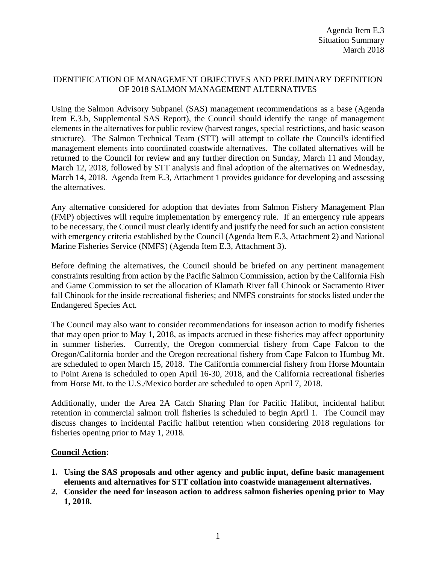## IDENTIFICATION OF MANAGEMENT OBJECTIVES AND PRELIMINARY DEFINITION OF 2018 SALMON MANAGEMENT ALTERNATIVES

Using the Salmon Advisory Subpanel (SAS) management recommendations as a base (Agenda Item E.3.b, Supplemental SAS Report), the Council should identify the range of management elements in the alternatives for public review (harvest ranges, special restrictions, and basic season structure). The Salmon Technical Team (STT) will attempt to collate the Council's identified management elements into coordinated coastwide alternatives. The collated alternatives will be returned to the Council for review and any further direction on Sunday, March 11 and Monday, March 12, 2018, followed by STT analysis and final adoption of the alternatives on Wednesday, March 14, 2018. Agenda Item E.3, Attachment 1 provides guidance for developing and assessing the alternatives.

Any alternative considered for adoption that deviates from Salmon Fishery Management Plan (FMP) objectives will require implementation by emergency rule. If an emergency rule appears to be necessary, the Council must clearly identify and justify the need for such an action consistent with emergency criteria established by the Council (Agenda Item E.3, Attachment 2) and National Marine Fisheries Service (NMFS) (Agenda Item E.3, Attachment 3).

Before defining the alternatives, the Council should be briefed on any pertinent management constraints resulting from action by the Pacific Salmon Commission, action by the California Fish and Game Commission to set the allocation of Klamath River fall Chinook or Sacramento River fall Chinook for the inside recreational fisheries; and NMFS constraints for stocks listed under the Endangered Species Act.

The Council may also want to consider recommendations for inseason action to modify fisheries that may open prior to May 1, 2018, as impacts accrued in these fisheries may affect opportunity in summer fisheries. Currently, the Oregon commercial fishery from Cape Falcon to the Oregon/California border and the Oregon recreational fishery from Cape Falcon to Humbug Mt. are scheduled to open March 15, 2018. The California commercial fishery from Horse Mountain to Point Arena is scheduled to open April 16-30, 2018, and the California recreational fisheries from Horse Mt. to the U.S./Mexico border are scheduled to open April 7, 2018.

Additionally, under the Area 2A Catch Sharing Plan for Pacific Halibut, incidental halibut retention in commercial salmon troll fisheries is scheduled to begin April 1. The Council may discuss changes to incidental Pacific halibut retention when considering 2018 regulations for fisheries opening prior to May 1, 2018.

## **Council Action:**

- **1. Using the SAS proposals and other agency and public input, define basic management elements and alternatives for STT collation into coastwide management alternatives.**
- **2. Consider the need for inseason action to address salmon fisheries opening prior to May 1, 2018.**